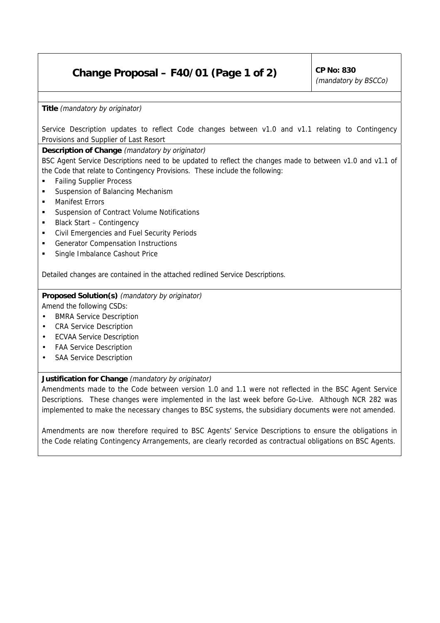# **Change Proposal – F40/01 (Page 1 of 2)**  $\vert$  CP No: 830

(mandatory by BSCCo)

**Title** (mandatory by originator)

Service Description updates to reflect Code changes between v1.0 and v1.1 relating to Contingency Provisions and Supplier of Last Resort

**Description of Change** (mandatory by originator)

BSC Agent Service Descriptions need to be updated to reflect the changes made to between v1.0 and v1.1 of the Code that relate to Contingency Provisions. These include the following:

- **Example Failing Supplier Process**
- Suspension of Balancing Mechanism
- **Manifest Frrors**
- ! Suspension of Contract Volume Notifications
- ! Black Start Contingency
- ! Civil Emergencies and Fuel Security Periods
- ! Generator Compensation Instructions
- Single Imbalance Cashout Price

Detailed changes are contained in the attached redlined Service Descriptions.

**Proposed Solution(s)** (mandatory by originator) Amend the following CSDs:

- BMRA Service Description
- CRA Service Description
- ECVAA Service Description
- FAA Service Description
- SAA Service Description

## **Justification for Change** (mandatory by originator)

Amendments made to the Code between version 1.0 and 1.1 were not reflected in the BSC Agent Service Descriptions. These changes were implemented in the last week before Go-Live. Although NCR 282 was implemented to make the necessary changes to BSC systems, the subsidiary documents were not amended.

Amendments are now therefore required to BSC Agents' Service Descriptions to ensure the obligations in the Code relating Contingency Arrangements, are clearly recorded as contractual obligations on BSC Agents.